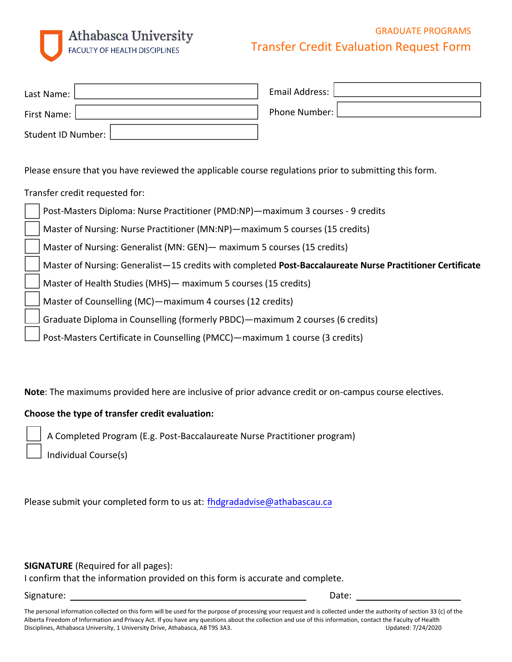# Athabasca University **FACULTY OF HEALTH DISCIPLINES**

## GRADUATE PROGRAMS Transfer Credit Evaluation Request Form

| Last Name:         | Email Address: |
|--------------------|----------------|
| First Name:        | Phone Number:  |
| Student ID Number: |                |

Please ensure that you have reviewed the applicable course regulations prior to submitting this form.

Transfer credit requested for:

|  | Post-Masters Diploma: Nurse Practitioner (PMD:NP)-maximum 3 courses - 9 credits                            |
|--|------------------------------------------------------------------------------------------------------------|
|  | Master of Nursing: Nurse Practitioner (MN:NP)—maximum 5 courses (15 credits)                               |
|  | Master of Nursing: Generalist (MN: GEN) - maximum 5 courses (15 credits)                                   |
|  | Master of Nursing: Generalist -15 credits with completed Post-Baccalaureate Nurse Practitioner Certificate |
|  | Master of Health Studies (MHS) - maximum 5 courses (15 credits)                                            |
|  | Master of Counselling (MC) - maximum 4 courses (12 credits)                                                |
|  | Graduate Diploma in Counselling (formerly PBDC) — maximum 2 courses (6 credits)                            |
|  | Post-Masters Certificate in Counselling (PMCC) - maximum 1 course (3 credits)                              |

**Note**: The maximums provided here are inclusive of prior advance credit or on-campus course electives.

### **Choose the type of transfer credit evaluation:**

A Completed Program (E.g. Post-Baccalaureate Nurse Practitioner program)

Individual Course(s)

Please submit your completed form to us at: [fhdgradadvise@athabascau.ca](mailto:fhdgradadvise@athabascau.ca)

**SIGNATURE** (Required for all pages):

I confirm that the information provided on this form is accurate and complete.

Signature: Date: Date: Date: Date: Date: Date: Date: Date: Date: Date: Date: Date: Date: Date: Date: Date: Date: Date: Date: Date: Date: Date: Date: Date: Date: Date: Date: Date: Date: Date: Date: Date: Date: Date: Date: D

The personal information collected on this form will be used for the purpose of processing your request and is collected under the authority of section 33 (c) of the Alberta Freedom of Information and Privacy Act. If you have any questions about the collection and use of this information, contact the Faculty of Health Disciplines, Athabasca University, 1 University Drive, Athabasca, AB T9S 3A3. Updated: 7/24/2020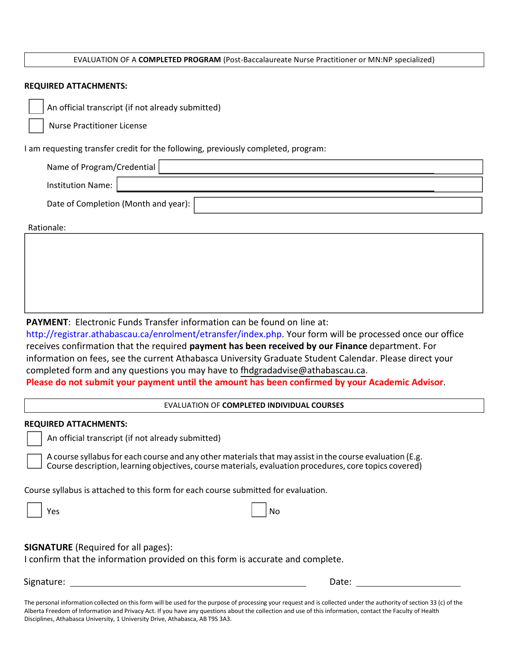#### EVALUATION OF A **COMPLETED PROGRAM** (Post-Baccalaureate Nurse Practitioner or MN:NP specialized)

#### **REQUIRED ATTACHMENTS:**

Nurse Practitioner License

I am requesting transfer credit for the following, previously completed, program:

| Name of Program/Credential           |  |  |  |
|--------------------------------------|--|--|--|
| Institution Name:                    |  |  |  |
| Date of Completion (Month and year): |  |  |  |

Rationale:

**PAYMENT**: Electronic Funds Transfer information can be found on line at:

[http://registrar.athabascau.ca/enrolment/etransfer/index.php.](http://registrar.athabascau.ca/enrolment/etransfer/index.php) Your form will be processed once our office receives confirmation that the required **payment has been received by our Finance** department. For information on fees, see the current Athabasca University Graduate Student Calendar. Please direct your completed form and any questions you may have to [fhdgradadvise@athabascau.ca](mailto: fhdgradadvise@athabascau.ca).

**Please do not submit your payment until the amount has been confirmed by your Academic Advisor**.

EVALUATION OF **COMPLETED INDIVIDUAL COURSES**

#### **REQUIRED ATTACHMENTS:**

An official transcript (if not already submitted)

A course syllabus for each course and any other materials that may assist in the course evaluation (E.g. Course description, learning objectives, course materials, evaluation procedures, core topics covered)

Course syllabus is attached to this form for each course submitted for evaluation.

Yes and the contract of the contract of the contract of the contract of the contract of the contract of the contract of the contract of the contract of the contract of the contract of the contract of the contract of the co

**SIGNATURE** (Required for all pages):

I confirm that the information provided on this form is accurate and complete.

Signature: Date: Date: Date: Date: Date: Date: Date: Date: Date: Date: Date: Date: Date: Date: Date: Date: Date: Date: Date: Date: Date: Date: Date: Date: Date: Date: Date: Date: Date: Date: Date: Date: Date: Date: Date: D

The personal information collected on this form will be used for the purpose of processing your request and is collected under the authority of section 33 (c) of the Alberta Freedom of Information and Privacy Act. If you have any questions about the collection and use of this information, contact the Faculty of Health Disciplines, Athabasca University, 1 University Drive, Athabasca, AB T9S 3A3.